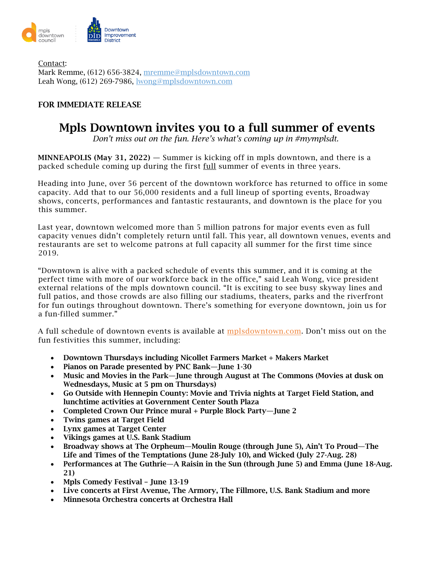

Contact: Mark Remme, (612) 656-3824, [mremme@mplsdowntown.com](mailto:mremme@mplsdowntown.com) Leah Wong, (612) 269-7986, [lwong@mplsdowntown.com](mailto:lwong@mplsdowntown.com)

## FOR IMMEDIATE RELEASE

## Mpls Downtown invites you to a full summer of events

*Don't miss out on the fun. Here's what's coming up in #mymplsdt.*

**MINNEAPOLIS (May 31, 2022)** — Summer is kicking off in mpls downtown, and there is a packed schedule coming up during the first full summer of events in three years.

Heading into June, over 56 percent of the downtown workforce has returned to office in some capacity. Add that to our 56,000 residents and a full lineup of sporting events, Broadway shows, concerts, performances and fantastic restaurants, and downtown is the place for you this summer.

Last year, downtown welcomed more than 5 million patrons for major events even as full capacity venues didn't completely return until fall. This year, all downtown venues, events and restaurants are set to welcome patrons at full capacity all summer for the first time since 2019.

"Downtown is alive with a packed schedule of events this summer, and it is coming at the perfect time with more of our workforce back in the office," said Leah Wong, vice president external relations of the mpls downtown council. "It is exciting to see busy skyway lines and full patios, and those crowds are also filling our stadiums, theaters, parks and the riverfront for fun outings throughout downtown. There's something for everyone downtown, join us for a fun-filled summer."

A full schedule of downtown events is available at [mplsdowntown.com.](http://www.mplsdowntown.com/) Don't miss out on the fun festivities this summer, including:

- Downtown Thursdays including Nicollet Farmers Market + Makers Market
- Pianos on Parade presented by PNC Bank—June 1-30
- Music and Movies in the Park—June through August at The Commons (Movies at dusk on Wednesdays, Music at 5 pm on Thursdays)
- Go Outside with Hennepin County: Movie and Trivia nights at Target Field Station, and lunchtime activities at Government Center South Plaza
- Completed Crown Our Prince mural + Purple Block Party—June 2
- Twins games at Target Field
- Lynx games at Target Center
- Vikings games at U.S. Bank Stadium
- Broadway shows at The Orpheum—Moulin Rouge (through June 5), Ain't To Proud—The Life and Times of the Temptations (June 28-July 10), and Wicked (July 27-Aug. 28)
- Performances at The Guthrie—A Raisin in the Sun (through June 5) and Emma (June 18-Aug. 21)
- Mpls Comedy Festival June 13-19
- Live concerts at First Avenue, The Armory, The Fillmore, U.S. Bank Stadium and more
- Minnesota Orchestra concerts at Orchestra Hall